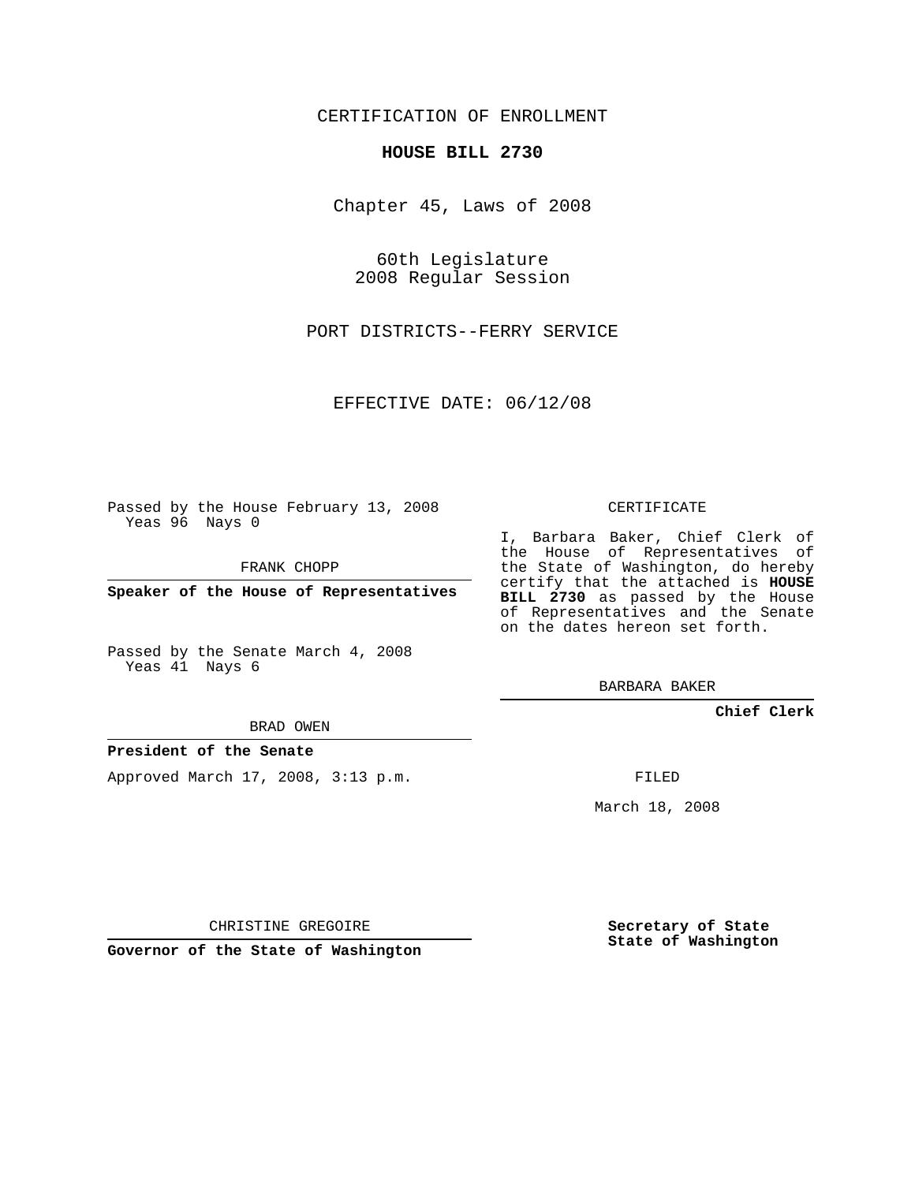CERTIFICATION OF ENROLLMENT

## **HOUSE BILL 2730**

Chapter 45, Laws of 2008

60th Legislature 2008 Regular Session

PORT DISTRICTS--FERRY SERVICE

EFFECTIVE DATE: 06/12/08

Passed by the House February 13, 2008 Yeas 96 Nays 0

FRANK CHOPP

**Speaker of the House of Representatives**

Passed by the Senate March 4, 2008 Yeas 41 Nays 6

BRAD OWEN

## **President of the Senate**

Approved March 17, 2008, 3:13 p.m.

CERTIFICATE

I, Barbara Baker, Chief Clerk of the House of Representatives of the State of Washington, do hereby certify that the attached is **HOUSE BILL 2730** as passed by the House of Representatives and the Senate on the dates hereon set forth.

BARBARA BAKER

**Chief Clerk**

FILED

March 18, 2008

CHRISTINE GREGOIRE

**Governor of the State of Washington**

**Secretary of State State of Washington**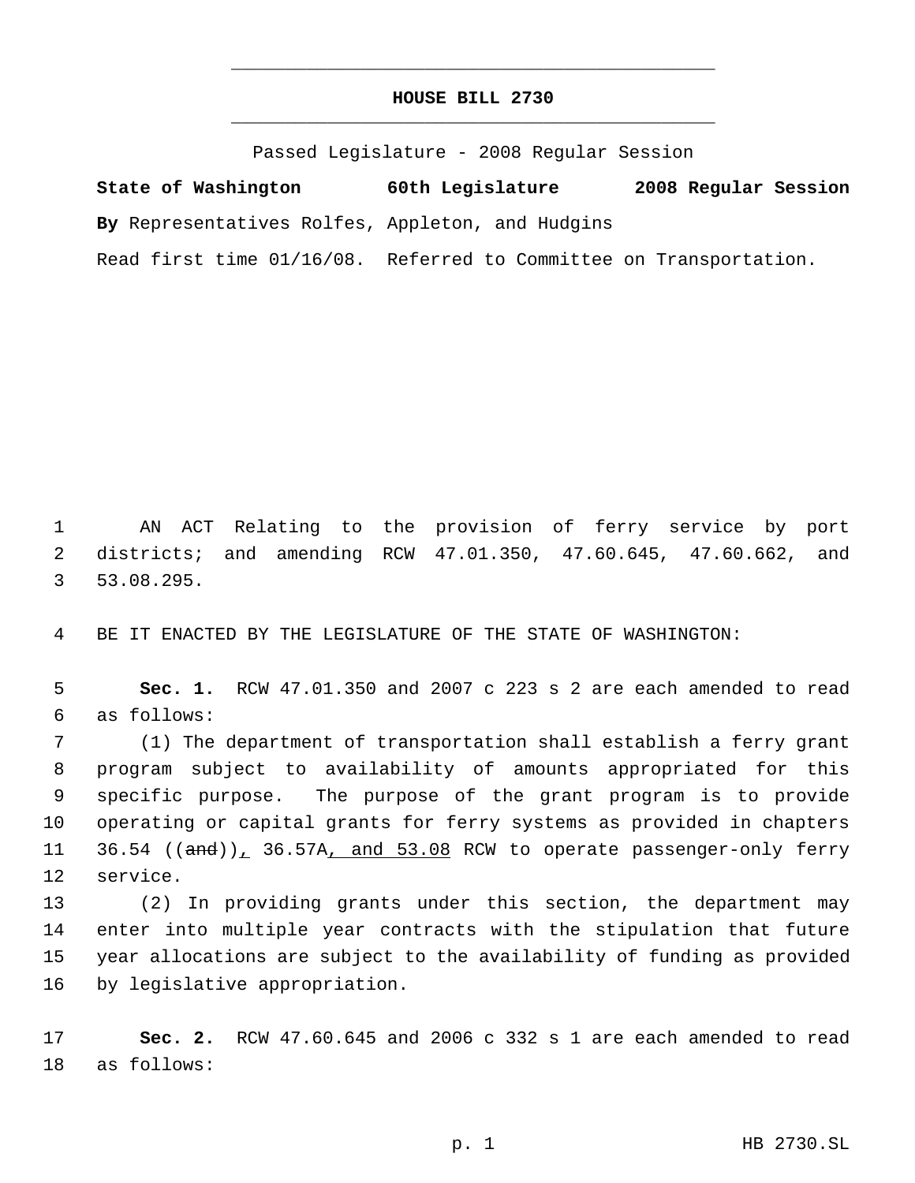## **HOUSE BILL 2730** \_\_\_\_\_\_\_\_\_\_\_\_\_\_\_\_\_\_\_\_\_\_\_\_\_\_\_\_\_\_\_\_\_\_\_\_\_\_\_\_\_\_\_\_\_

\_\_\_\_\_\_\_\_\_\_\_\_\_\_\_\_\_\_\_\_\_\_\_\_\_\_\_\_\_\_\_\_\_\_\_\_\_\_\_\_\_\_\_\_\_

Passed Legislature - 2008 Regular Session

**State of Washington 60th Legislature 2008 Regular Session By** Representatives Rolfes, Appleton, and Hudgins Read first time 01/16/08. Referred to Committee on Transportation.

 AN ACT Relating to the provision of ferry service by port districts; and amending RCW 47.01.350, 47.60.645, 47.60.662, and 53.08.295.

BE IT ENACTED BY THE LEGISLATURE OF THE STATE OF WASHINGTON:

 **Sec. 1.** RCW 47.01.350 and 2007 c 223 s 2 are each amended to read as follows:

 (1) The department of transportation shall establish a ferry grant program subject to availability of amounts appropriated for this specific purpose. The purpose of the grant program is to provide operating or capital grants for ferry systems as provided in chapters 11 36.54 ((and)), 36.57A, and 53.08 RCW to operate passenger-only ferry service.

 (2) In providing grants under this section, the department may enter into multiple year contracts with the stipulation that future year allocations are subject to the availability of funding as provided by legislative appropriation.

 **Sec. 2.** RCW 47.60.645 and 2006 c 332 s 1 are each amended to read as follows: